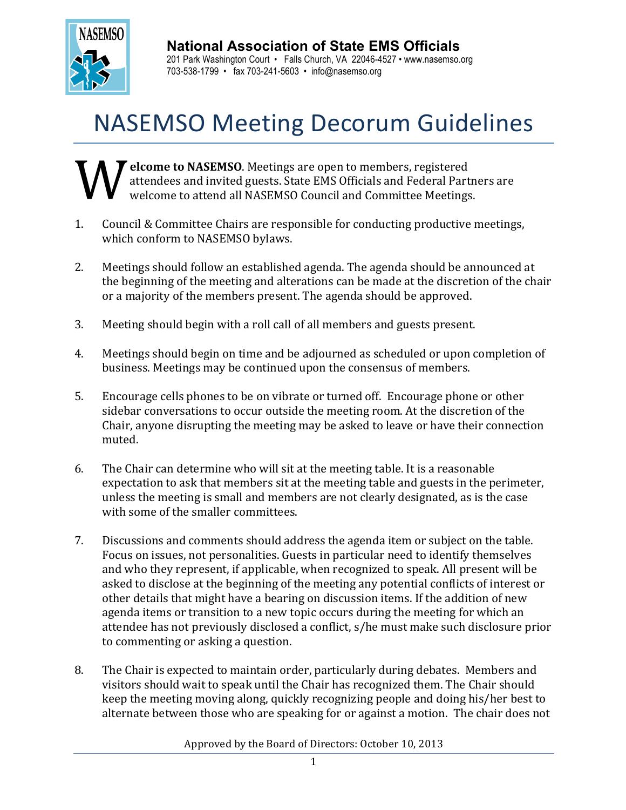

## **National Association of State EMS Officials**

201 Park Washington Court • Falls Church, VA 22046-4527 • www.nasemso.org 703-538-1799 • fax 703-241-5603 • info@nasemso.org

## **NASEMSO Meeting Decorum Guidelines**

T elcome to NASEMSO. Meetings are open to members, registered attendees and invited guests. State EMS Officials and Federal Partners are welcome to attend all NASEMSO Council and Committee Meetings. W

- 1. Council & Committee Chairs are responsible for conducting productive meetings, which conform to NASEMSO bylaws.
- 2. Meetings should follow an established agenda. The agenda should be announced at the beginning of the meeting and alterations can be made at the discretion of the chair or a majority of the members present. The agenda should be approved.
- 3. Meeting should begin with a roll call of all members and guests present.
- 4. Meetings should begin on time and be adjourned as scheduled or upon completion of business. Meetings may be continued upon the consensus of members.
- 5. Encourage cells phones to be on vibrate or turned off. Encourage phone or other sidebar conversations to occur outside the meeting room. At the discretion of the Chair, anyone disrupting the meeting may be asked to leave or have their connection muted.
- 6. The Chair can determine who will sit at the meeting table. It is a reasonable expectation to ask that members sit at the meeting table and guests in the perimeter, unless the meeting is small and members are not clearly designated, as is the case with some of the smaller committees.
- 7. Discussions and comments should address the agenda item or subject on the table. Focus on issues, not personalities. Guests in particular need to identify themselves and who they represent, if applicable, when recognized to speak. All present will be asked to disclose at the beginning of the meeting any potential conflicts of interest or other details that might have a bearing on discussion items. If the addition of new agenda items or transition to a new topic occurs during the meeting for which an attendee has not previously disclosed a conflict, s/he must make such disclosure prior to commenting or asking a question.
- 8. The Chair is expected to maintain order, particularly during debates. Members and visitors should wait to speak until the Chair has recognized them. The Chair should keep the meeting moving along, quickly recognizing people and doing his/her best to alternate between those who are speaking for or against a motion. The chair does not

Approved by the Board of Directors: October 10, 2013